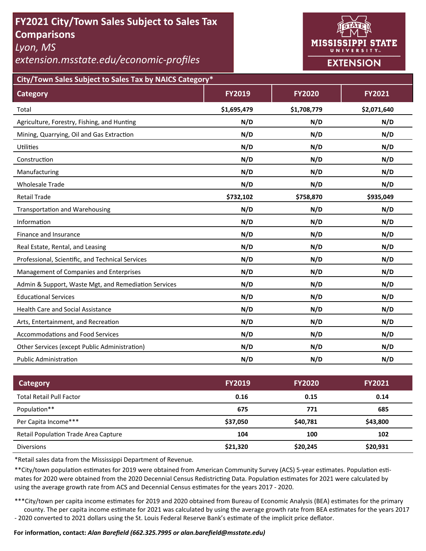# **FY2021 City/Town Sales Subject to Sales Tax Comparisons**

*Lyon, MS* 

*extension.msstate.edu/economic‐profiles* 



**City/Town Sales Subject to Sales Tax by NAICS Category\***

| <b>Category</b>                                      | <b>FY2019</b> | <b>FY2020</b> | <b>FY2021</b> |
|------------------------------------------------------|---------------|---------------|---------------|
| Total                                                | \$1,695,479   | \$1,708,779   | \$2,071,640   |
| Agriculture, Forestry, Fishing, and Hunting          | N/D           | N/D           | N/D           |
| Mining, Quarrying, Oil and Gas Extraction            | N/D           | N/D           | N/D           |
| <b>Utilities</b>                                     | N/D           | N/D           | N/D           |
| Construction                                         | N/D           | N/D           | N/D           |
| Manufacturing                                        | N/D           | N/D           | N/D           |
| <b>Wholesale Trade</b>                               | N/D           | N/D           | N/D           |
| <b>Retail Trade</b>                                  | \$732,102     | \$758,870     | \$935,049     |
| <b>Transportation and Warehousing</b>                | N/D           | N/D           | N/D           |
| Information                                          | N/D           | N/D           | N/D           |
| Finance and Insurance                                | N/D           | N/D           | N/D           |
| Real Estate, Rental, and Leasing                     | N/D           | N/D           | N/D           |
| Professional, Scientific, and Technical Services     | N/D           | N/D           | N/D           |
| Management of Companies and Enterprises              | N/D           | N/D           | N/D           |
| Admin & Support, Waste Mgt, and Remediation Services | N/D           | N/D           | N/D           |
| <b>Educational Services</b>                          | N/D           | N/D           | N/D           |
| <b>Health Care and Social Assistance</b>             | N/D           | N/D           | N/D           |
| Arts, Entertainment, and Recreation                  | N/D           | N/D           | N/D           |
| <b>Accommodations and Food Services</b>              | N/D           | N/D           | N/D           |
| Other Services (except Public Administration)        | N/D           | N/D           | N/D           |
| <b>Public Administration</b>                         | N/D           | N/D           | N/D           |

| Category                             | <b>FY2019</b> | <b>FY2020</b> | <b>FY2021</b> |
|--------------------------------------|---------------|---------------|---------------|
| <b>Total Retail Pull Factor</b>      | 0.16          | 0.15          | 0.14          |
| Population**                         | 675           | 771           | 685           |
| Per Capita Income***                 | \$37,050      | \$40,781      | \$43,800      |
| Retail Population Trade Area Capture | 104           | 100           | 102           |
| <b>Diversions</b>                    | \$21,320      | \$20,245      | \$20,931      |

\*Retail sales data from the Mississippi Department of Revenue*.* 

\*\*City/town population estimates for 2019 were obtained from American Community Survey (ACS) 5-year estimates. Population estimates for 2020 were obtained from the 2020 Decennial Census Redistricting Data. Population estimates for 2021 were calculated by using the average growth rate from ACS and Decennial Census estimates for the years 2017 - 2020.

\*\*\*City/town per capita income estimates for 2019 and 2020 obtained from Bureau of Economic Analysis (BEA) estimates for the primary county. The per capita income estimate for 2021 was calculated by using the average growth rate from BEA estimates for the years 2017 - 2020 converted to 2021 dollars using the St. Louis Federal Reserve Bank's estimate of the implicit price deflator.

### **For informaƟon, contact:** *Alan Barefield (662.325.7995 or alan.barefield@msstate.edu)*